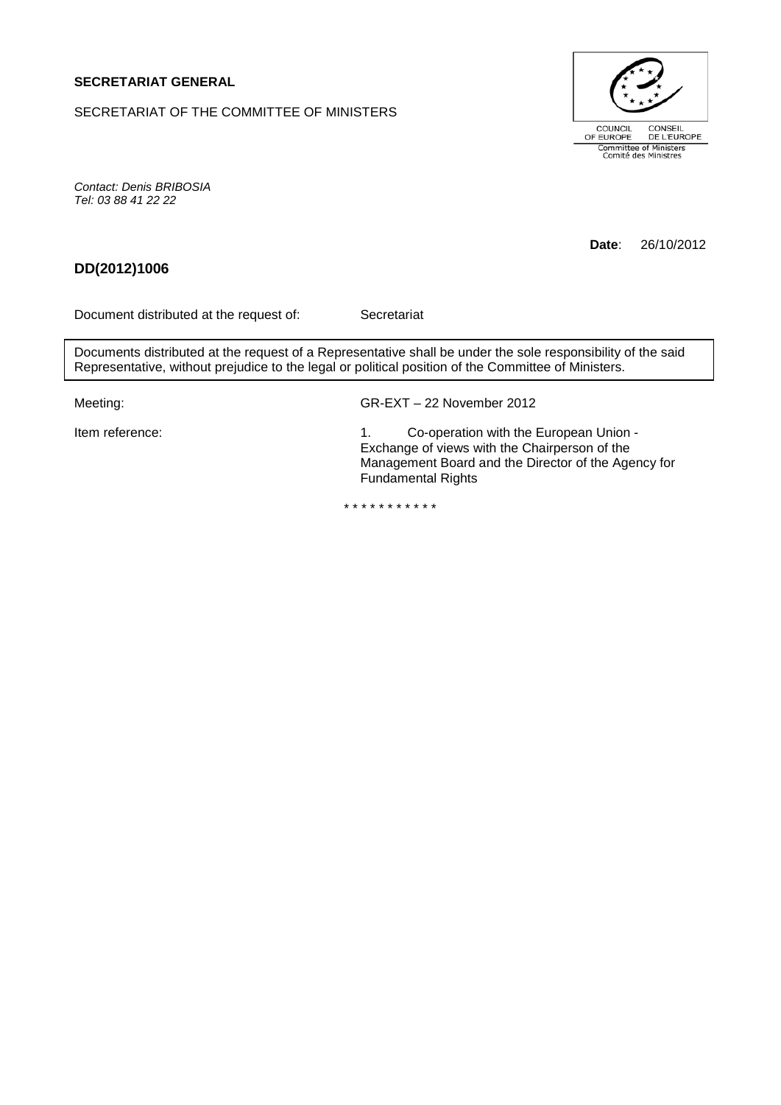## **SECRETARIAT GENERAL**

SECRETARIAT OF THE COMMITTEE OF MINISTERS



*Contact: Denis BRIBOSIA Tel: 03 88 41 22 22*

**Date**: 26/10/2012

# **DD(2012)1006**

Document distributed at the request of: Secretariat

Documents distributed at the request of a Representative shall be under the sole responsibility of the said Representative, without prejudice to the legal or political position of the Committee of Ministers.

Meeting: GR-EXT – 22 November 2012

Item reference: 1. Co-operation with the European Union -Exchange of views with the Chairperson of the Management Board and the Director of the Agency for Fundamental Rights

\* \* \* \* \* \* \* \* \* \* \*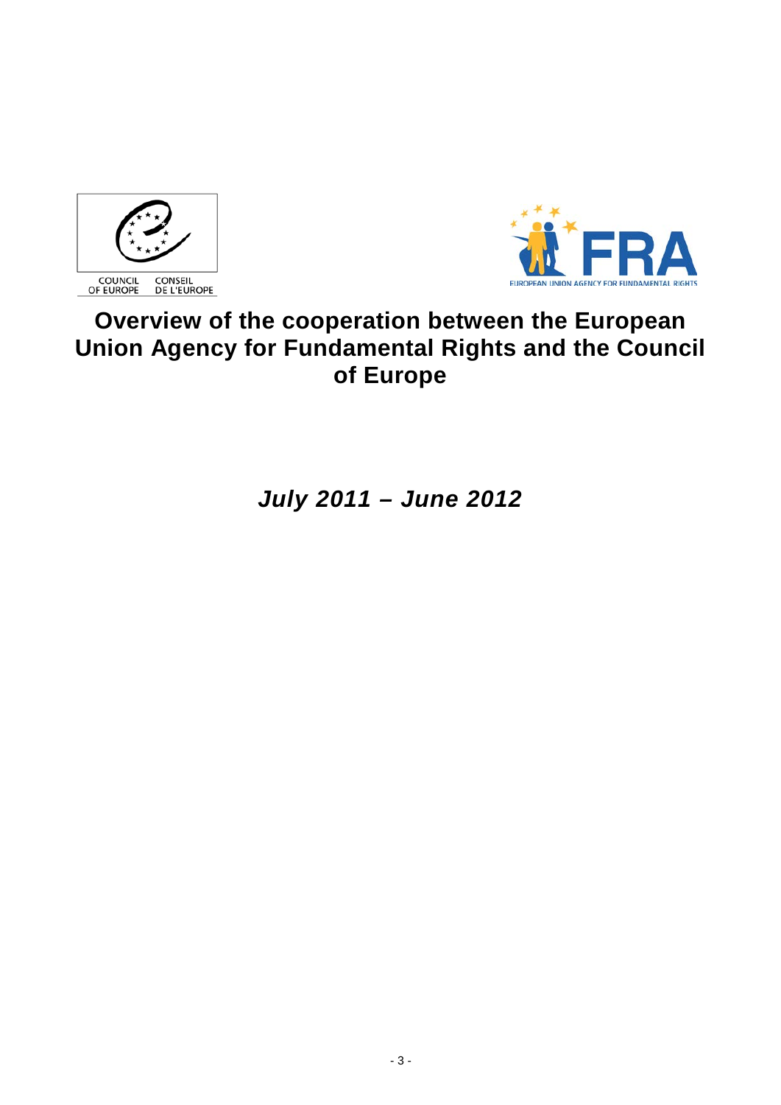



# **Overview of the cooperation between the European Union Agency for Fundamental Rights and the Council of Europe**

*July 2011 – June 2012*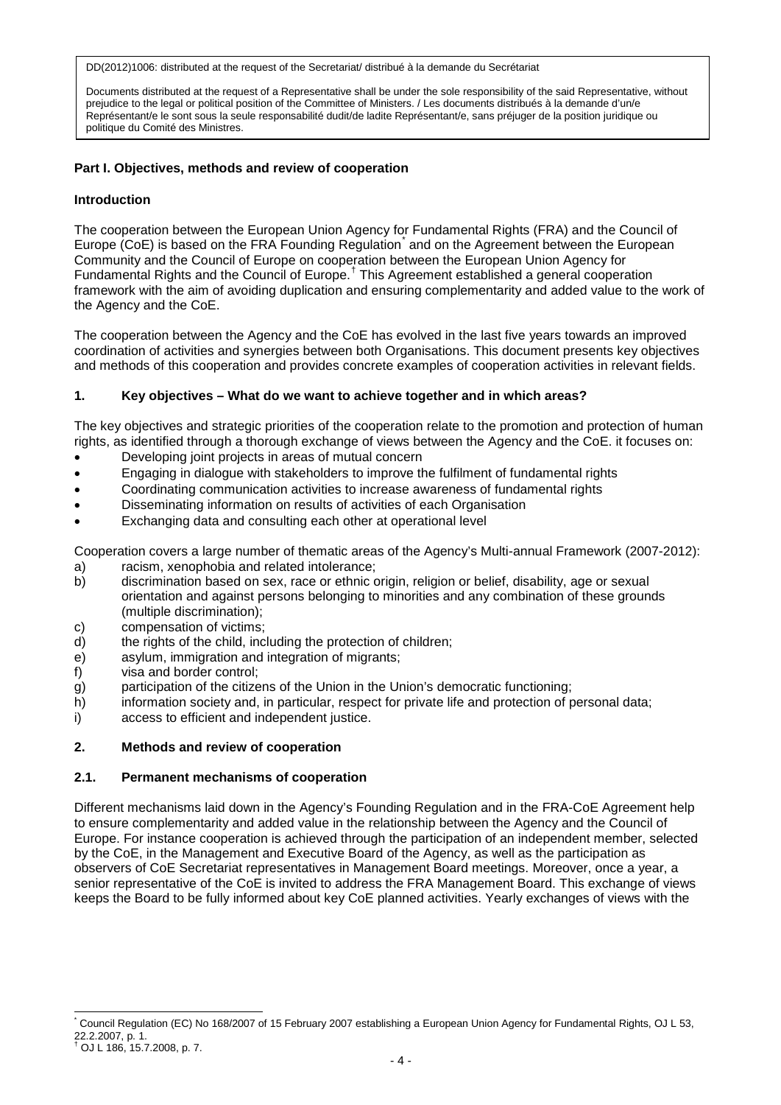Documents distributed at the request of a Representative shall be under the sole responsibility of the said Representative, without prejudice to the legal or political position of the Committee of Ministers. / Les documents distribués à la demande d'un/e Représentant/e le sont sous la seule responsabilité dudit/de ladite Représentant/e, sans préjuger de la position juridique ou politique du Comité des Ministres.

## **Part I. Objectives, methods and review of cooperation**

#### **Introduction**

The cooperation between the European Union Agency for Fundamental Rights (FRA) and the Council of Europe (CoE) is based on the FRA Founding Regulation<sup>[\\*](#page-3-0)</sup> and on the Agreement between the European Community and the Council of Europe on cooperation between the European Union Agency for Fundamental Rights and the Council of Europe.[†](#page-3-1) This Agreement established a general cooperation framework with the aim of avoiding duplication and ensuring complementarity and added value to the work of the Agency and the CoE.

The cooperation between the Agency and the CoE has evolved in the last five years towards an improved coordination of activities and synergies between both Organisations. This document presents key objectives and methods of this cooperation and provides concrete examples of cooperation activities in relevant fields.

## **1. Key objectives – What do we want to achieve together and in which areas?**

The key objectives and strategic priorities of the cooperation relate to the promotion and protection of human rights, as identified through a thorough exchange of views between the Agency and the CoE. it focuses on:

- Developing joint projects in areas of mutual concern
- Engaging in dialogue with stakeholders to improve the fulfilment of fundamental rights
- Coordinating communication activities to increase awareness of fundamental rights
- Disseminating information on results of activities of each Organisation
- Exchanging data and consulting each other at operational level

Cooperation covers a large number of thematic areas of the Agency's Multi-annual Framework (2007-2012): a) racism, xenophobia and related intolerance;

- b) discrimination based on sex, race or ethnic origin, religion or belief, disability, age or sexual orientation and against persons belonging to minorities and any combination of these grounds (multiple discrimination);
- c) compensation of victims;
- d) the rights of the child, including the protection of children;<br>e) asylum, immigration and integration of migrants:
- asylum, immigration and integration of migrants;
- f) visa and border control;
- g) participation of the citizens of the Union in the Union's democratic functioning;
- h) information society and, in particular, respect for private life and protection of personal data;
- i) access to efficient and independent justice.

#### **2. Methods and review of cooperation**

#### **2.1. Permanent mechanisms of cooperation**

Different mechanisms laid down in the Agency's Founding Regulation and in the FRA-CoE Agreement help to ensure complementarity and added value in the relationship between the Agency and the Council of Europe. For instance cooperation is achieved through the participation of an independent member, selected by the CoE, in the Management and Executive Board of the Agency, as well as the participation as observers of CoE Secretariat representatives in Management Board meetings. Moreover, once a year, a senior representative of the CoE is invited to address the FRA Management Board. This exchange of views keeps the Board to be fully informed about key CoE planned activities. Yearly exchanges of views with the

<span id="page-3-0"></span>Council Regulation (EC) No 168/2007 of 15 February 2007 establishing a European Union Agency for Fundamental Rights, OJ L 53, 22.2.2007, p. 1.

<span id="page-3-1"></span><sup>†</sup> OJ L 186, 15.7.2008, p. 7.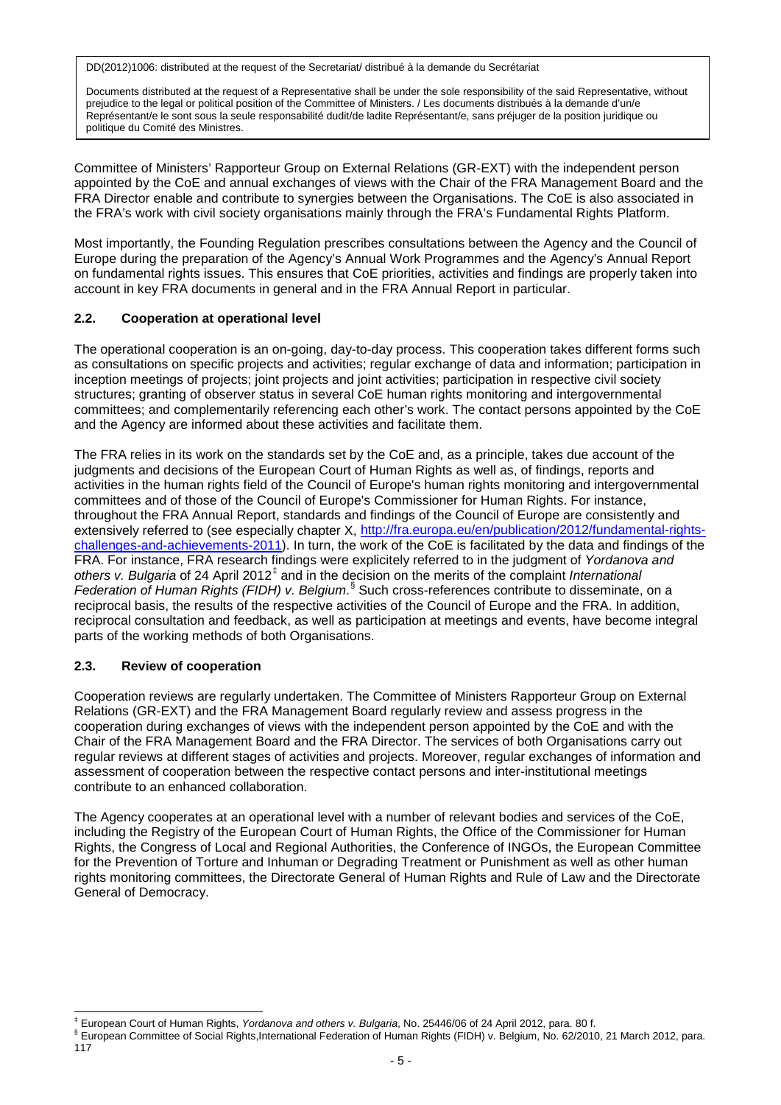Documents distributed at the request of a Representative shall be under the sole responsibility of the said Representative, without prejudice to the legal or political position of the Committee of Ministers. / Les documents distribués à la demande d'un/e Représentant/e le sont sous la seule responsabilité dudit/de ladite Représentant/e, sans préjuger de la position juridique ou politique du Comité des Ministres.

Committee of Ministers' Rapporteur Group on External Relations (GR-EXT) with the independent person appointed by the CoE and annual exchanges of views with the Chair of the FRA Management Board and the FRA Director enable and contribute to synergies between the Organisations. The CoE is also associated in the FRA's work with civil society organisations mainly through the FRA's Fundamental Rights Platform.

Most importantly, the Founding Regulation prescribes consultations between the Agency and the Council of Europe during the preparation of the Agency's Annual Work Programmes and the Agency's Annual Report on fundamental rights issues. This ensures that CoE priorities, activities and findings are properly taken into account in key FRA documents in general and in the FRA Annual Report in particular.

# **2.2. Cooperation at operational level**

The operational cooperation is an on-going, day-to-day process. This cooperation takes different forms such as consultations on specific projects and activities; regular exchange of data and information; participation in inception meetings of projects; joint projects and joint activities; participation in respective civil society structures; granting of observer status in several CoE human rights monitoring and intergovernmental committees; and complementarily referencing each other's work. The contact persons appointed by the CoE and the Agency are informed about these activities and facilitate them.

The FRA relies in its work on the standards set by the CoE and, as a principle, takes due account of the judgments and decisions of the European Court of Human Rights as well as, of findings, reports and activities in the human rights field of the Council of Europe's human rights monitoring and intergovernmental committees and of those of the Council of Europe's Commissioner for Human Rights. For instance, throughout the FRA Annual Report, standards and findings of the Council of Europe are consistently and extensively referred to (see especially chapter X, [http://fra.europa.eu/en/publication/2012/fundamental-rights](http://fra.europa.eu/en/publication/2012/fundamental-rights-challenges-and-achievements-2011)[challenges-and-achievements-2011\)](http://fra.europa.eu/en/publication/2012/fundamental-rights-challenges-and-achievements-2011). In turn, the work of the CoE is facilitated by the data and findings of the FRA. For instance, FRA research findings were explicitely referred to in the judgment of *Yordanova and others v. Bulgaria* of 24 April 2012[‡](#page-4-0) and in the decision on the merits of the complaint *International Federation of Human Rights (FIDH) v. Belgium*. [§](#page-4-1) Such cross-references contribute to disseminate, on a reciprocal basis, the results of the respective activities of the Council of Europe and the FRA. In addition, reciprocal consultation and feedback, as well as participation at meetings and events, have become integral parts of the working methods of both Organisations.

# **2.3. Review of cooperation**

Cooperation reviews are regularly undertaken. The Committee of Ministers Rapporteur Group on External Relations (GR-EXT) and the FRA Management Board regularly review and assess progress in the cooperation during exchanges of views with the independent person appointed by the CoE and with the Chair of the FRA Management Board and the FRA Director. The services of both Organisations carry out regular reviews at different stages of activities and projects. Moreover, regular exchanges of information and assessment of cooperation between the respective contact persons and inter-institutional meetings contribute to an enhanced collaboration.

The Agency cooperates at an operational level with a number of relevant bodies and services of the CoE, including the Registry of the European Court of Human Rights, the Office of the Commissioner for Human Rights, the Congress of Local and Regional Authorities, the Conference of INGOs, the European Committee for the Prevention of Torture and Inhuman or Degrading Treatment or Punishment as well as other human rights monitoring committees, the Directorate General of Human Rights and Rule of Law and the Directorate General of Democracy.

<span id="page-4-0"></span> <sup>‡</sup> European Court of Human Rights, *Yordanova and others v. Bulgaria*, No. 25446/06 of 24 April 2012, para. 80 f.

<span id="page-4-1"></span><sup>§</sup> European Committee of Social Rights, International Federation of Human Rights (FIDH) v. Belgium, No. 62/2010, 21 March 2012, para.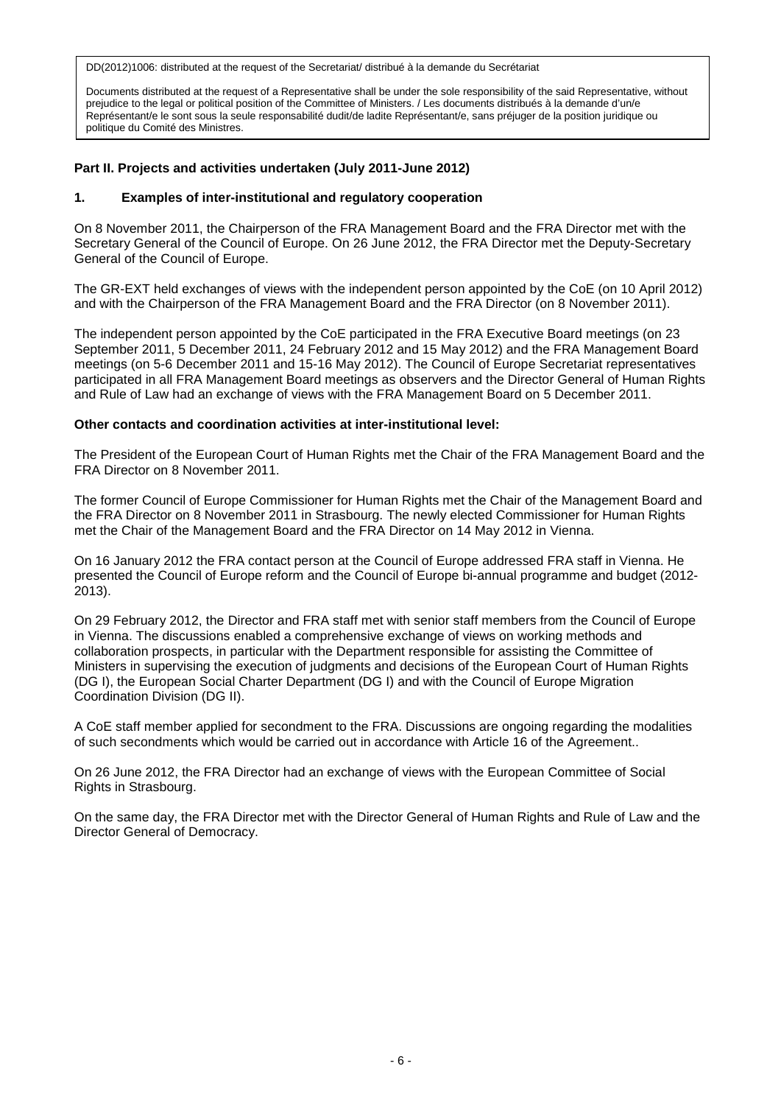Documents distributed at the request of a Representative shall be under the sole responsibility of the said Representative, without prejudice to the legal or political position of the Committee of Ministers. / Les documents distribués à la demande d'un/e Représentant/e le sont sous la seule responsabilité dudit/de ladite Représentant/e, sans préjuger de la position juridique ou politique du Comité des Ministres.

## **Part II. Projects and activities undertaken (July 2011-June 2012)**

#### **1. Examples of inter-institutional and regulatory cooperation**

On 8 November 2011, the Chairperson of the FRA Management Board and the FRA Director met with the Secretary General of the Council of Europe. On 26 June 2012, the FRA Director met the Deputy-Secretary General of the Council of Europe.

The GR-EXT held exchanges of views with the independent person appointed by the CoE (on 10 April 2012) and with the Chairperson of the FRA Management Board and the FRA Director (on 8 November 2011).

The independent person appointed by the CoE participated in the FRA Executive Board meetings (on 23 September 2011, 5 December 2011, 24 February 2012 and 15 May 2012) and the FRA Management Board meetings (on 5-6 December 2011 and 15-16 May 2012). The Council of Europe Secretariat representatives participated in all FRA Management Board meetings as observers and the Director General of Human Rights and Rule of Law had an exchange of views with the FRA Management Board on 5 December 2011.

#### **Other contacts and coordination activities at inter-institutional level:**

The President of the European Court of Human Rights met the Chair of the FRA Management Board and the FRA Director on 8 November 2011.

The former Council of Europe Commissioner for Human Rights met the Chair of the Management Board and the FRA Director on 8 November 2011 in Strasbourg. The newly elected Commissioner for Human Rights met the Chair of the Management Board and the FRA Director on 14 May 2012 in Vienna.

On 16 January 2012 the FRA contact person at the Council of Europe addressed FRA staff in Vienna. He presented the Council of Europe reform and the Council of Europe bi-annual programme and budget (2012- 2013).

On 29 February 2012, the Director and FRA staff met with senior staff members from the Council of Europe in Vienna. The discussions enabled a comprehensive exchange of views on working methods and collaboration prospects, in particular with the Department responsible for assisting the Committee of Ministers in supervising the execution of judgments and decisions of the European Court of Human Rights (DG I), the European Social Charter Department (DG I) and with the Council of Europe Migration Coordination Division (DG II).

A CoE staff member applied for secondment to the FRA. Discussions are ongoing regarding the modalities of such secondments which would be carried out in accordance with Article 16 of the Agreement..

On 26 June 2012, the FRA Director had an exchange of views with the European Committee of Social Rights in Strasbourg.

On the same day, the FRA Director met with the Director General of Human Rights and Rule of Law and the Director General of Democracy.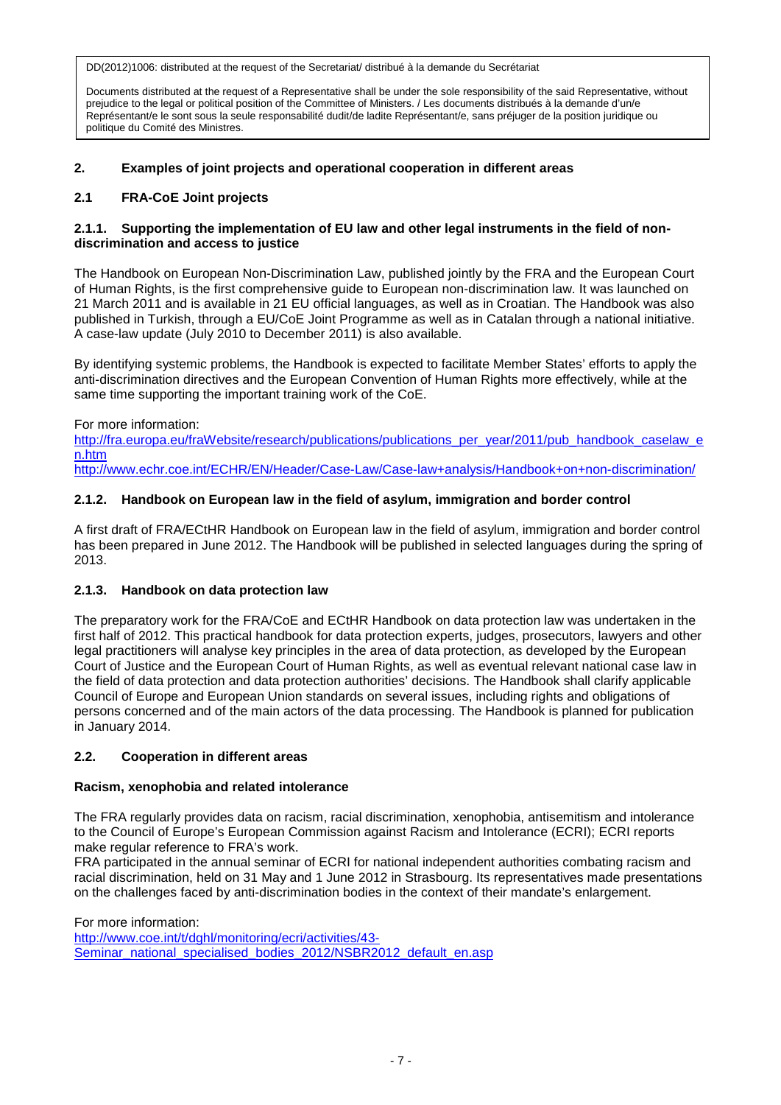Documents distributed at the request of a Representative shall be under the sole responsibility of the said Representative, without prejudice to the legal or political position of the Committee of Ministers. / Les documents distribués à la demande d'un/e Représentant/e le sont sous la seule responsabilité dudit/de ladite Représentant/e, sans préjuger de la position juridique ou politique du Comité des Ministres.

# **2. Examples of joint projects and operational cooperation in different areas**

# **2.1 FRA-CoE Joint projects**

## **2.1.1. Supporting the implementation of EU law and other legal instruments in the field of nondiscrimination and access to justice**

The Handbook on European Non-Discrimination Law, published jointly by the FRA and the European Court of Human Rights, is the first comprehensive guide to European non-discrimination law. It was launched on 21 March 2011 and is available in 21 EU official languages, as well as in Croatian. The Handbook was also published in Turkish, through a EU/CoE Joint Programme as well as in Catalan through a national initiative. A case-law update (July 2010 to December 2011) is also available.

By identifying systemic problems, the Handbook is expected to facilitate Member States' efforts to apply the anti-discrimination directives and the European Convention of Human Rights more effectively, while at the same time supporting the important training work of the CoE.

For more information:

[http://fra.europa.eu/fraWebsite/research/publications/publications\\_per\\_year/2011/pub\\_handbook\\_caselaw\\_e](http://fra.europa.eu/fraWebsite/research/publications/publications_per_year/2011/pub_handbook_caselaw_en.htm) [n.htm](http://fra.europa.eu/fraWebsite/research/publications/publications_per_year/2011/pub_handbook_caselaw_en.htm)

<http://www.echr.coe.int/ECHR/EN/Header/Case-Law/Case-law+analysis/Handbook+on+non-discrimination/>

# **2.1.2. Handbook on European law in the field of asylum, immigration and border control**

A first draft of FRA/ECtHR Handbook on European law in the field of asylum, immigration and border control has been prepared in June 2012. The Handbook will be published in selected languages during the spring of 2013.

# **2.1.3. Handbook on data protection law**

The preparatory work for the FRA/CoE and ECtHR Handbook on data protection law was undertaken in the first half of 2012. This practical handbook for data protection experts, judges, prosecutors, lawyers and other legal practitioners will analyse key principles in the area of data protection, as developed by the European Court of Justice and the European Court of Human Rights, as well as eventual relevant national case law in the field of data protection and data protection authorities' decisions. The Handbook shall clarify applicable Council of Europe and European Union standards on several issues, including rights and obligations of persons concerned and of the main actors of the data processing. The Handbook is planned for publication in January 2014.

# **2.2. Cooperation in different areas**

# **Racism, xenophobia and related intolerance**

The FRA regularly provides data on racism, racial discrimination, xenophobia, antisemitism and intolerance to the Council of Europe's European Commission against Racism and Intolerance (ECRI); ECRI reports make regular reference to FRA's work.

FRA participated in the annual seminar of ECRI for national independent authorities combating racism and racial discrimination, held on 31 May and 1 June 2012 in Strasbourg. Its representatives made presentations on the challenges faced by anti-discrimination bodies in the context of their mandate's enlargement.

For more information:

[http://www.coe.int/t/dghl/monitoring/ecri/activities/43-](http://www.coe.int/t/dghl/monitoring/ecri/activities/43-Seminar_national_specialised_bodies_2012/NSBR2012_default_en.asp) [Seminar\\_national\\_specialised\\_bodies\\_2012/NSBR2012\\_default\\_en.asp](http://www.coe.int/t/dghl/monitoring/ecri/activities/43-Seminar_national_specialised_bodies_2012/NSBR2012_default_en.asp)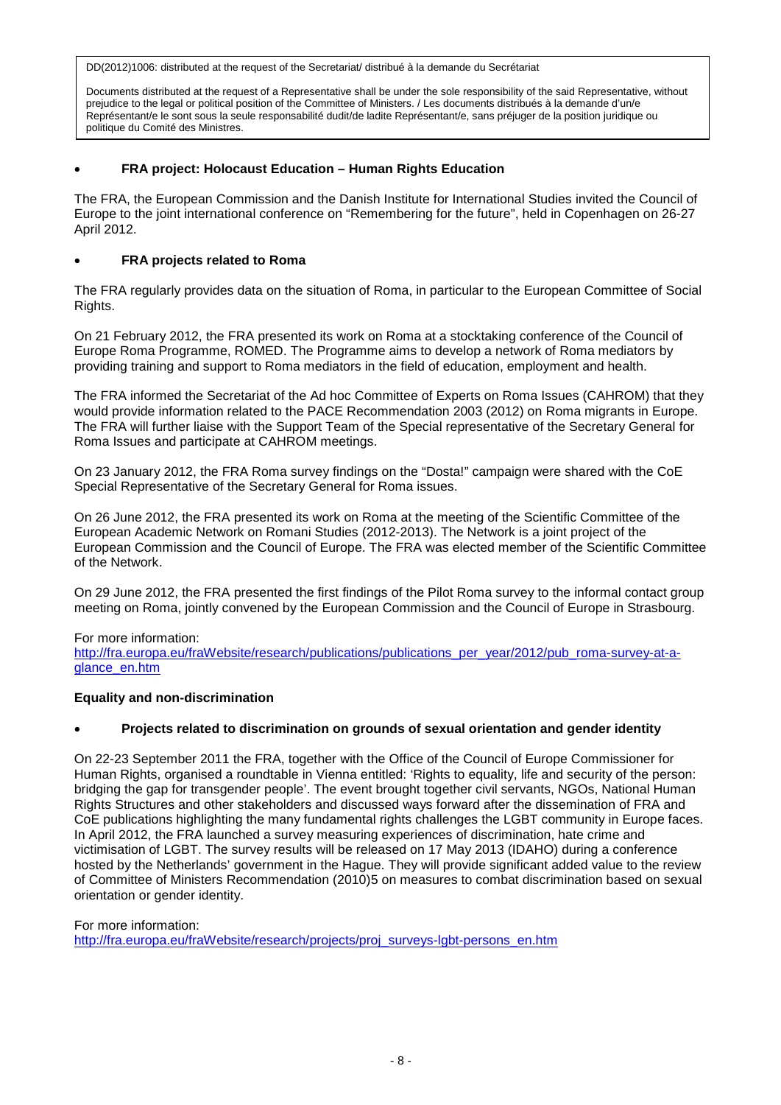Documents distributed at the request of a Representative shall be under the sole responsibility of the said Representative, without prejudice to the legal or political position of the Committee of Ministers. / Les documents distribués à la demande d'un/e Représentant/e le sont sous la seule responsabilité dudit/de ladite Représentant/e, sans préjuger de la position juridique ou politique du Comité des Ministres.

## • **FRA project: Holocaust Education – Human Rights Education**

The FRA, the European Commission and the Danish Institute for International Studies invited the Council of Europe to the joint international conference on "Remembering for the future", held in Copenhagen on 26-27 April 2012.

## • **FRA projects related to Roma**

The FRA regularly provides data on the situation of Roma, in particular to the European Committee of Social Rights.

On 21 February 2012, the FRA presented its work on Roma at a stocktaking conference of the Council of Europe Roma Programme, ROMED. The Programme aims to develop a network of Roma mediators by providing training and support to Roma mediators in the field of education, employment and health.

The FRA informed the Secretariat of the Ad hoc Committee of Experts on Roma Issues (CAHROM) that they would provide information related to the PACE Recommendation 2003 (2012) on Roma migrants in Europe. The FRA will further liaise with the Support Team of the Special representative of the Secretary General for Roma Issues and participate at CAHROM meetings.

On 23 January 2012, the FRA Roma survey findings on the "Dosta!" campaign were shared with the CoE Special Representative of the Secretary General for Roma issues.

On 26 June 2012, the FRA presented its work on Roma at the meeting of the Scientific Committee of the European Academic Network on Romani Studies (2012-2013). The Network is a joint project of the European Commission and the Council of Europe. The FRA was elected member of the Scientific Committee of the Network.

On 29 June 2012, the FRA presented the first findings of the Pilot Roma survey to the informal contact group meeting on Roma, jointly convened by the European Commission and the Council of Europe in Strasbourg.

#### For more information:

[http://fra.europa.eu/fraWebsite/research/publications/publications\\_per\\_year/2012/pub\\_roma-survey-at-a](http://fra.europa.eu/fraWebsite/research/publications/publications_per_year/2012/pub_roma-survey-at-a-glance_en.htm)[glance\\_en.htm](http://fra.europa.eu/fraWebsite/research/publications/publications_per_year/2012/pub_roma-survey-at-a-glance_en.htm)

#### **Equality and non-discrimination**

# • **Projects related to discrimination on grounds of sexual orientation and gender identity**

On 22-23 September 2011 the FRA, together with the Office of the Council of Europe Commissioner for Human Rights, organised a roundtable in Vienna entitled: 'Rights to equality, life and security of the person: bridging the gap for transgender people'. The event brought together civil servants, NGOs, National Human Rights Structures and other stakeholders and discussed ways forward after the dissemination of FRA and CoE publications highlighting the many fundamental rights challenges the LGBT community in Europe faces. In April 2012, the FRA launched a survey measuring experiences of discrimination, hate crime and victimisation of LGBT. The survey results will be released on 17 May 2013 (IDAHO) during a conference hosted by the Netherlands' government in the Hague. They will provide significant added value to the review of Committee of Ministers Recommendation (2010)5 on measures to combat discrimination based on sexual orientation or gender identity.

For more information: [http://fra.europa.eu/fraWebsite/research/projects/proj\\_surveys-lgbt-persons\\_en.htm](http://fra.europa.eu/fraWebsite/research/projects/proj_surveys-lgbt-persons_en.htm)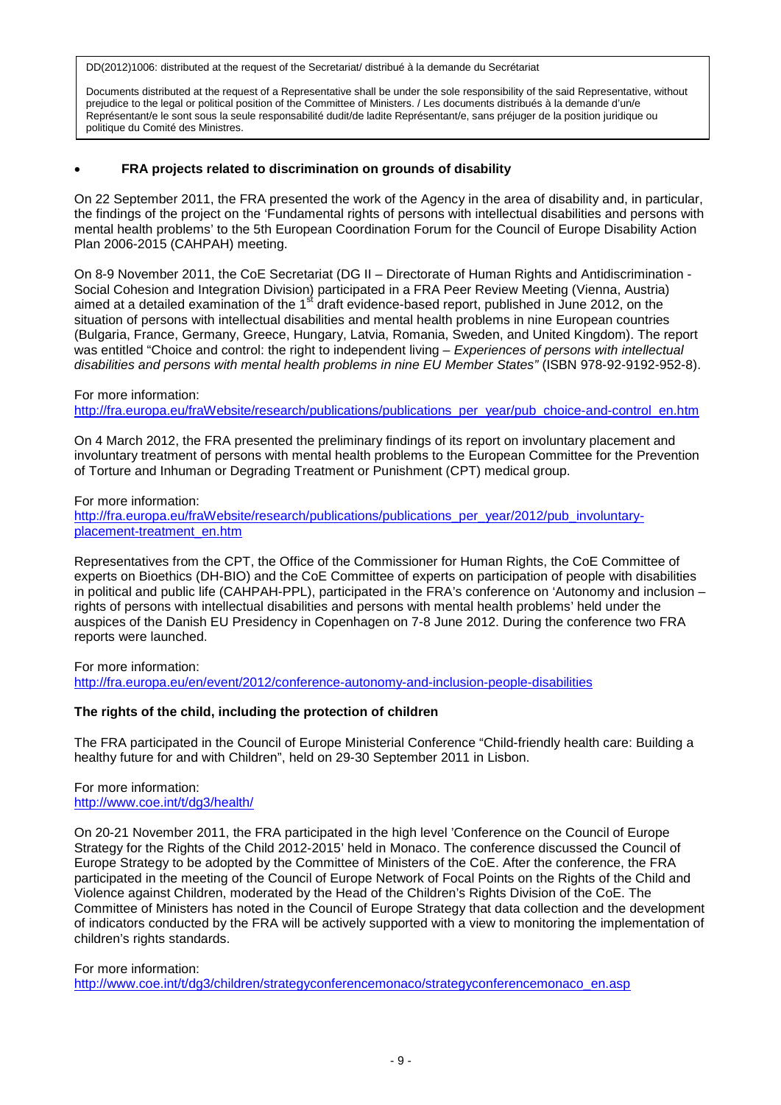Documents distributed at the request of a Representative shall be under the sole responsibility of the said Representative, without prejudice to the legal or political position of the Committee of Ministers. / Les documents distribués à la demande d'un/e Représentant/e le sont sous la seule responsabilité dudit/de ladite Représentant/e, sans préjuger de la position juridique ou politique du Comité des Ministres.

## • **FRA projects related to discrimination on grounds of disability**

On 22 September 2011, the FRA presented the work of the Agency in the area of disability and, in particular, the findings of the project on the 'Fundamental rights of persons with intellectual disabilities and persons with mental health problems' to the 5th European Coordination Forum for the Council of Europe Disability Action Plan 2006-2015 (CAHPAH) meeting.

On 8-9 November 2011, the CoE Secretariat (DG II – Directorate of Human Rights and Antidiscrimination - Social Cohesion and Integration Division) participated in a FRA Peer Review Meeting (Vienna, Austria) aimed at a detailed examination of the 1<sup>st</sup> draft evidence-based report, published in June 2012, on the situation of persons with intellectual disabilities and mental health problems in nine European countries (Bulgaria, France, Germany, Greece, Hungary, Latvia, Romania, Sweden, and United Kingdom). The report was entitled "Choice and control: the right to independent living – *Experiences of persons with intellectual disabilities and persons with mental health problems in nine EU Member States"* (ISBN 978-92-9192-952-8).

#### For more information:

[http://fra.europa.eu/fraWebsite/research/publications/publications\\_per\\_year/pub\\_choice-and-control\\_en.htm](http://fra.europa.eu/fraWebsite/research/publications/publications_per_year/pub_choice-and-control_en.htm)

On 4 March 2012, the FRA presented the preliminary findings of its report on involuntary placement and involuntary treatment of persons with mental health problems to the European Committee for the Prevention of Torture and Inhuman or Degrading Treatment or Punishment (CPT) medical group.

For more information:

[http://fra.europa.eu/fraWebsite/research/publications/publications\\_per\\_year/2012/pub\\_involuntary](http://fra.europa.eu/fraWebsite/research/publications/publications_per_year/2012/pub_involuntary-placement-treatment_en.htm)[placement-treatment\\_en.htm](http://fra.europa.eu/fraWebsite/research/publications/publications_per_year/2012/pub_involuntary-placement-treatment_en.htm)

Representatives from the CPT, the Office of the Commissioner for Human Rights, the CoE Committee of experts on Bioethics (DH-BIO) and the CoE Committee of experts on participation of people with disabilities in political and public life (CAHPAH-PPL), participated in the FRA's conference on 'Autonomy and inclusion – rights of persons with intellectual disabilities and persons with mental health problems' held under the auspices of the Danish EU Presidency in Copenhagen on 7-8 June 2012. During the conference two FRA reports were launched.

For more information:

<http://fra.europa.eu/en/event/2012/conference-autonomy-and-inclusion-people-disabilities>

#### **The rights of the child, including the protection of children**

The FRA participated in the Council of Europe Ministerial Conference "Child-friendly health care: Building a healthy future for and with Children", held on 29-30 September 2011 in Lisbon.

## For more information: <http://www.coe.int/t/dg3/health/>

On 20-21 November 2011, the FRA participated in the high level 'Conference on the Council of Europe Strategy for the Rights of the Child 2012-2015' held in Monaco. The conference discussed the Council of Europe Strategy to be adopted by the Committee of Ministers of the CoE. After the conference, the FRA participated in the meeting of the Council of Europe Network of Focal Points on the Rights of the Child and Violence against Children, moderated by the Head of the Children's Rights Division of the CoE. The Committee of Ministers has noted in the Council of Europe Strategy that data collection and the development of indicators conducted by the FRA will be actively supported with a view to monitoring the implementation of children's rights standards.

#### For more information:

[http://www.coe.int/t/dg3/children/strategyconferencemonaco/strategyconferencemonaco\\_en.asp](http://www.coe.int/t/dg3/children/strategyconferencemonaco/strategyconferencemonaco_en.asp)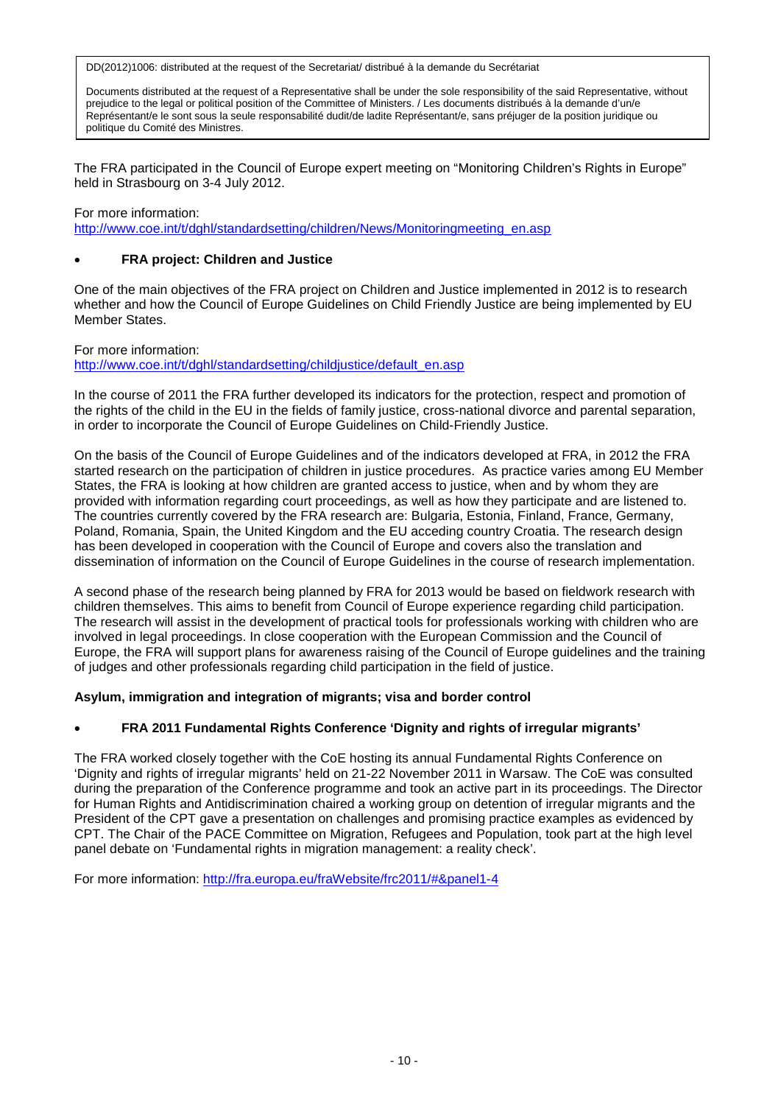Documents distributed at the request of a Representative shall be under the sole responsibility of the said Representative, without prejudice to the legal or political position of the Committee of Ministers. / Les documents distribués à la demande d'un/e Représentant/e le sont sous la seule responsabilité dudit/de ladite Représentant/e, sans préjuger de la position juridique ou politique du Comité des Ministres.

The FRA participated in the Council of Europe expert meeting on "Monitoring Children's Rights in Europe" held in Strasbourg on 3-4 July 2012.

## For more information: [http://www.coe.int/t/dghl/standardsetting/children/News/Monitoringmeeting\\_en.asp](http://www.coe.int/t/dghl/standardsetting/children/News/Monitoringmeeting_en.asp)

# • **FRA project: Children and Justice**

One of the main objectives of the FRA project on Children and Justice implemented in 2012 is to research whether and how the Council of Europe Guidelines on Child Friendly Justice are being implemented by EU Member States.

For more information: http://www.coe.int/t/dghl/standardsetting/childiustice/default\_en.asp

In the course of 2011 the FRA further developed its indicators for the protection, respect and promotion of the rights of the child in the EU in the fields of family justice, cross-national divorce and parental separation, in order to incorporate the Council of Europe Guidelines on Child-Friendly Justice.

On the basis of the Council of Europe Guidelines and of the indicators developed at FRA, in 2012 the FRA started research on the participation of children in justice procedures. As practice varies among EU Member States, the FRA is looking at how children are granted access to justice, when and by whom they are provided with information regarding court proceedings, as well as how they participate and are listened to. The countries currently covered by the FRA research are: Bulgaria, Estonia, Finland, France, Germany, Poland, Romania, Spain, the United Kingdom and the EU acceding country Croatia. The research design has been developed in cooperation with the Council of Europe and covers also the translation and dissemination of information on the Council of Europe Guidelines in the course of research implementation.

A second phase of the research being planned by FRA for 2013 would be based on fieldwork research with children themselves. This aims to benefit from Council of Europe experience regarding child participation. The research will assist in the development of practical tools for professionals working with children who are involved in legal proceedings. In close cooperation with the European Commission and the Council of Europe, the FRA will support plans for awareness raising of the Council of Europe guidelines and the training of judges and other professionals regarding child participation in the field of justice.

# **Asylum, immigration and integration of migrants; visa and border control**

# • **FRA 2011 Fundamental Rights Conference 'Dignity and rights of irregular migrants'**

The FRA worked closely together with the CoE hosting its annual Fundamental Rights Conference on 'Dignity and rights of irregular migrants' held on 21-22 November 2011 in Warsaw. The CoE was consulted during the preparation of the Conference programme and took an active part in its proceedings. The Director for Human Rights and Antidiscrimination chaired a working group on detention of irregular migrants and the President of the CPT gave a presentation on challenges and promising practice examples as evidenced by CPT. The Chair of the PACE Committee on Migration, Refugees and Population, took part at the high level panel debate on 'Fundamental rights in migration management: a reality check'.

For more information:<http://fra.europa.eu/fraWebsite/frc2011/#&panel1-4>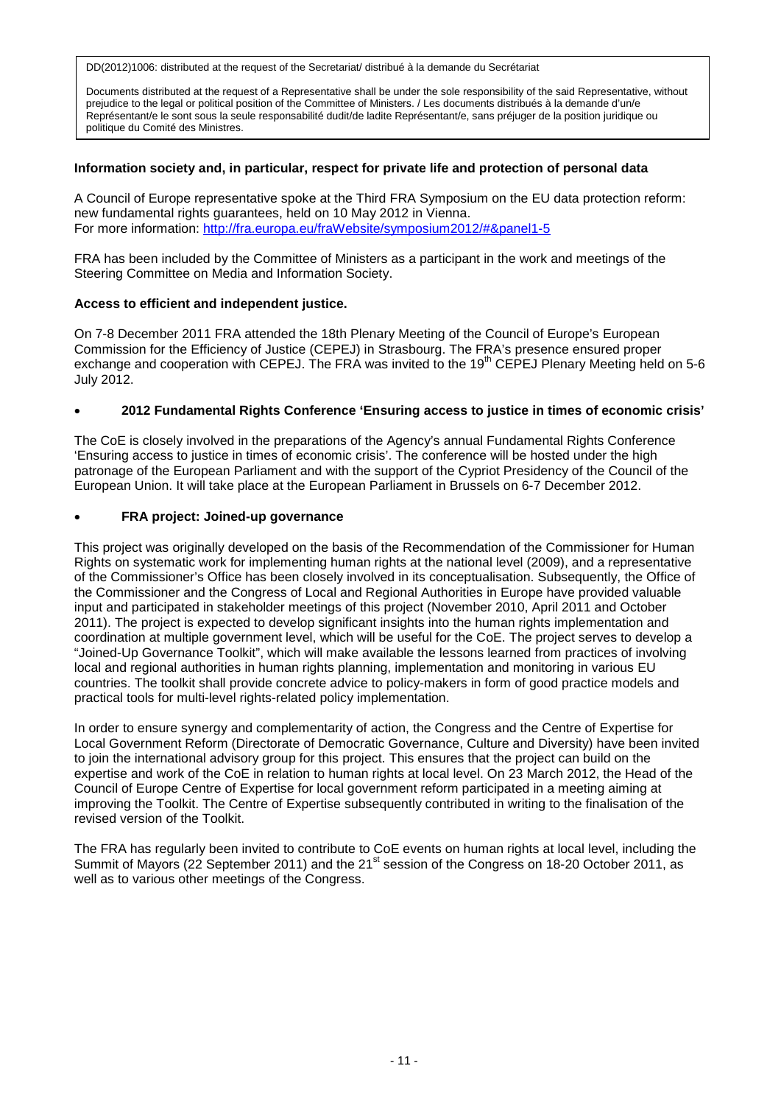Documents distributed at the request of a Representative shall be under the sole responsibility of the said Representative, without prejudice to the legal or political position of the Committee of Ministers. / Les documents distribués à la demande d'un/e Représentant/e le sont sous la seule responsabilité dudit/de ladite Représentant/e, sans préjuger de la position juridique ou politique du Comité des Ministres.

## **Information society and, in particular, respect for private life and protection of personal data**

A Council of Europe representative spoke at the Third FRA Symposium on the EU data protection reform: new fundamental rights guarantees, held on 10 May 2012 in Vienna. For more information:<http://fra.europa.eu/fraWebsite/symposium2012/#&panel1-5>

FRA has been included by the Committee of Ministers as a participant in the work and meetings of the Steering Committee on Media and Information Society.

## **Access to efficient and independent justice.**

On 7-8 December 2011 FRA attended the 18th Plenary Meeting of the Council of Europe's [European](http://www.coe.int/t/dghl/cooperation/cepej/presentation/cepej_en.asp)  [Commission for the Efficiency of Justice](http://www.coe.int/t/dghl/cooperation/cepej/presentation/cepej_en.asp) (CEPEJ) in Strasbourg. The FRA's presence ensured proper exchange and cooperation with CEPEJ. The FRA was invited to the 19<sup>th</sup> CEPEJ Plenary Meeting held on 5-6 July 2012.

## • **2012 Fundamental Rights Conference 'Ensuring access to justice in times of economic crisis'**

The CoE is closely involved in the preparations of the Agency's annual Fundamental Rights Conference 'Ensuring access to justice in times of economic crisis'. The conference will be hosted under the high patronage of the European Parliament and with the support of the Cypriot Presidency of the Council of the European Union. It will take place at the European Parliament in Brussels on 6-7 December 2012.

## • **FRA project: Joined-up governance**

This project was originally developed on the basis of the Recommendation of the Commissioner for Human Rights on systematic work for implementing human rights at the national level (2009), and a representative of the Commissioner's Office has been closely involved in its conceptualisation. Subsequently, the Office of the Commissioner and the Congress of Local and Regional Authorities in Europe have provided valuable input and participated in stakeholder meetings of this project (November 2010, April 2011 and October 2011). The project is expected to develop significant insights into the human rights implementation and coordination at multiple government level, which will be useful for the CoE. The project serves to develop a "Joined-Up Governance Toolkit", which will make available the lessons learned from practices of involving local and regional authorities in human rights planning, implementation and monitoring in various EU countries. The toolkit shall provide concrete advice to policy-makers in form of good practice models and practical tools for multi-level rights-related policy implementation.

In order to ensure synergy and complementarity of action, the Congress and the Centre of Expertise for Local Government Reform (Directorate of Democratic Governance, Culture and Diversity) have been invited to join the international advisory group for this project. This ensures that the project can build on the expertise and work of the CoE in relation to human rights at local level. On 23 March 2012, the Head of the Council of Europe Centre of Expertise for local government reform participated in a meeting aiming at improving the Toolkit. The Centre of Expertise subsequently contributed in writing to the finalisation of the revised version of the Toolkit.

The FRA has regularly been invited to contribute to CoE events on human rights at local level, including the Summit of Mayors (22 September 2011) and the 21<sup>st</sup> session of the Congress on 18-20 October 2011, as well as to various other meetings of the Congress.